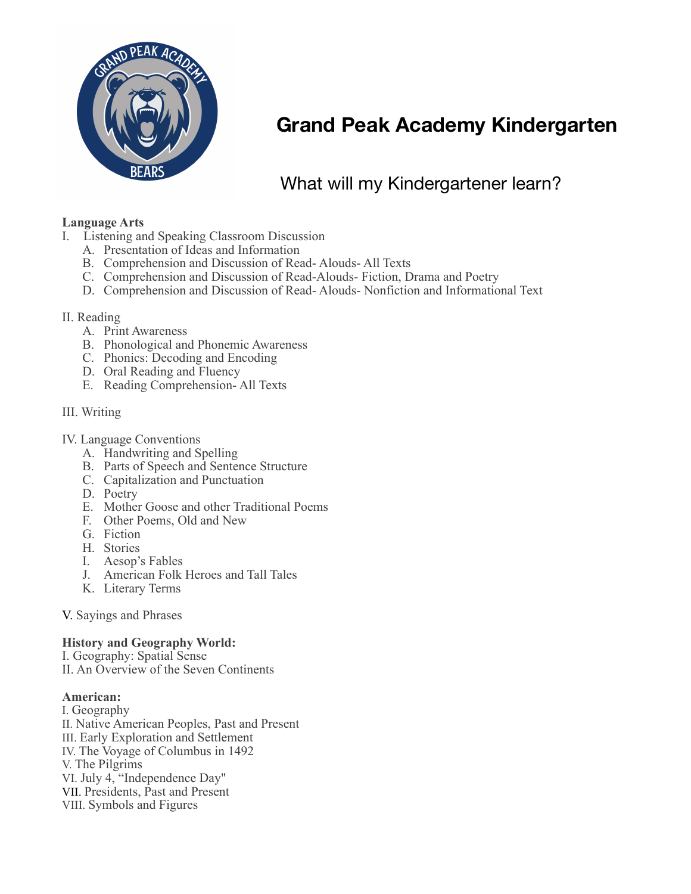

# **Grand Peak Academy Kindergarten**

# What will my Kindergartener learn?

# **Language Arts**

- I. Listening and Speaking Classroom Discussion
	- A. Presentation of Ideas and Information
	- B. Comprehension and Discussion of Read- Alouds- All Texts
	- C. Comprehension and Discussion of Read-Alouds- Fiction, Drama and Poetry
	- D. Comprehension and Discussion of Read- Alouds- Nonfiction and Informational Text

# II. Reading

- A. Print Awareness
- B. Phonological and Phonemic Awareness
- C. Phonics: Decoding and Encoding
- D. Oral Reading and Fluency
- E. Reading Comprehension- All Texts

# III. Writing

# IV. Language Conventions

- A. Handwriting and Spelling
- B. Parts of Speech and Sentence Structure
- C. Capitalization and Punctuation
- D. Poetry
- E. Mother Goose and other Traditional Poems
- F. Other Poems, Old and New
- G. Fiction
- H. Stories
- I. Aesop's Fables
- J. American Folk Heroes and Tall Tales
- K. Literary Terms

V. Sayings and Phrases

# **History and Geography World:**

I. Geography: Spatial Sense II. An Overview of the Seven Continents

#### **American:**

I. Geography II. Native American Peoples, Past and Present III. Early Exploration and Settlement IV. The Voyage of Columbus in 1492 V. The Pilgrims VI. July 4, "Independence Day" VII. Presidents, Past and Present VIII. Symbols and Figures